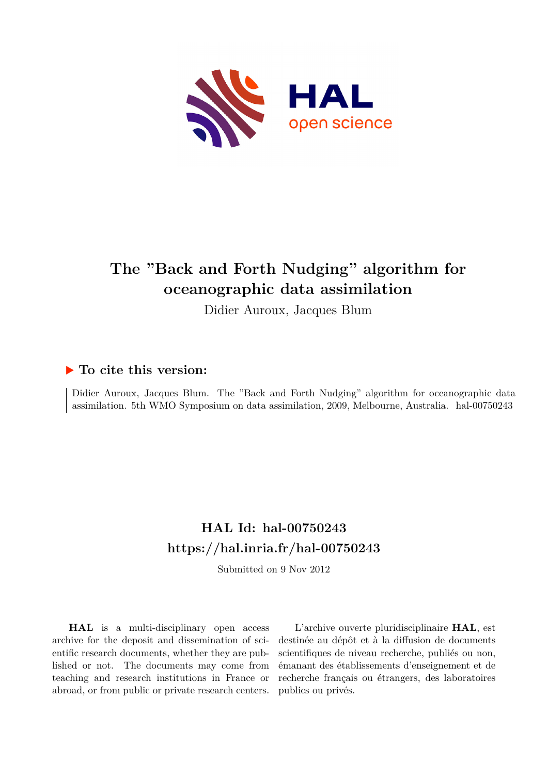

# **The "Back and Forth Nudging" algorithm for oceanographic data assimilation**

Didier Auroux, Jacques Blum

# **To cite this version:**

Didier Auroux, Jacques Blum. The "Back and Forth Nudging" algorithm for oceanographic data assimilation. 5th WMO Symposium on data assimilation, 2009, Melbourne, Australia. hal-00750243

# **HAL Id: hal-00750243 <https://hal.inria.fr/hal-00750243>**

Submitted on 9 Nov 2012

**HAL** is a multi-disciplinary open access archive for the deposit and dissemination of scientific research documents, whether they are published or not. The documents may come from teaching and research institutions in France or abroad, or from public or private research centers.

L'archive ouverte pluridisciplinaire **HAL**, est destinée au dépôt et à la diffusion de documents scientifiques de niveau recherche, publiés ou non, émanant des établissements d'enseignement et de recherche français ou étrangers, des laboratoires publics ou privés.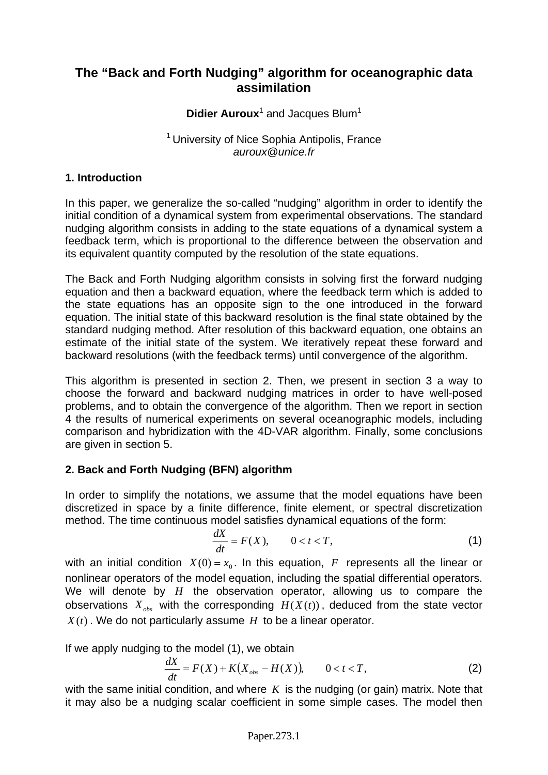# **The "Back and Forth Nudging" algorithm for oceanographic data assimilation**

Didier Auroux<sup>1</sup> and Jacques Blum<sup>1</sup>

#### <sup>1</sup> University of Nice Sophia Antipolis, France *auroux@unice.fr*

# **1. Introduction**

In this paper, we generalize the so-called "nudging" algorithm in order to identify the initial condition of a dynamical system from experimental observations. The standard nudging algorithm consists in adding to the state equations of a dynamical system a feedback term, which is proportional to the difference between the observation and its equivalent quantity computed by the resolution of the state equations.

The Back and Forth Nudging algorithm consists in solving first the forward nudging equation and then a backward equation, where the feedback term which is added to the state equations has an opposite sign to the one introduced in the forward equation. The initial state of this backward resolution is the final state obtained by the standard nudging method. After resolution of this backward equation, one obtains an estimate of the initial state of the system. We iteratively repeat these forward and backward resolutions (with the feedback terms) until convergence of the algorithm.

This algorithm is presented in section 2. Then, we present in section 3 a way to choose the forward and backward nudging matrices in order to have well-posed problems, and to obtain the convergence of the algorithm. Then we report in section 4 the results of numerical experiments on several oceanographic models, including comparison and hybridization with the 4D-VAR algorithm. Finally, some conclusions are given in section 5.

# **2. Back and Forth Nudging (BFN) algorithm**

In order to simplify the notations, we assume that the model equations have been discretized in space by a finite difference, finite element, or spectral discretization method. The time continuous model satisfies dynamical equations of the form:

$$
\frac{dX}{dt} = F(X), \qquad 0 < t < T,\tag{1}
$$

with an initial condition  $X(0) = x_0$ . In this equation, F represents all the linear or nonlinear operators of the model equation, including the spatial differential operators. We will denote by *H* the observation operator, allowing us to compare the observations  $X_{obs}$  with the corresponding  $H(X(t))$ , deduced from the state vector  $X(t)$ . We do not particularly assume  $H$  to be a linear operator.

If we apply nudging to the model (1), we obtain

$$
\frac{dX}{dt} = F(X) + K(X_{obs} - H(X)), \qquad 0 < t < T,\tag{2}
$$

with the same initial condition, and where *K* is the nudging (or gain) matrix. Note that it may also be a nudging scalar coefficient in some simple cases. The model then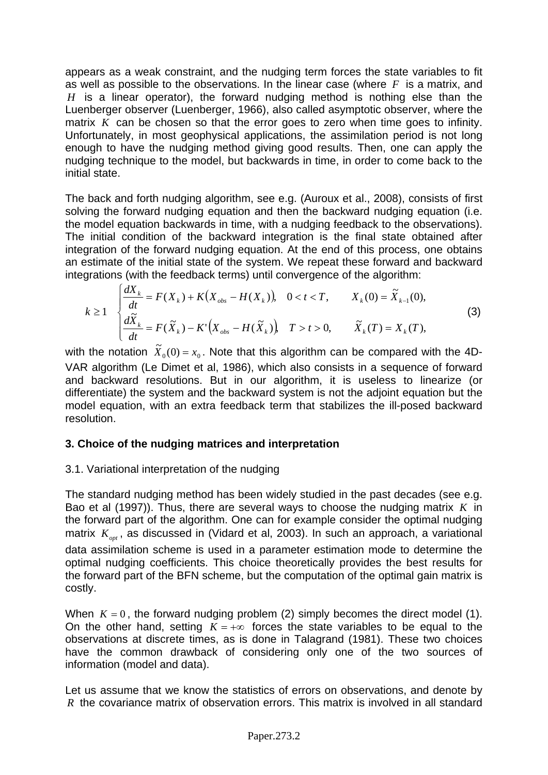appears as a weak constraint, and the nudging term forces the state variables to fit as well as possible to the observations. In the linear case (where *F* is a matrix, and *H* is a linear operator), the forward nudging method is nothing else than the Luenberger observer (Luenberger, 1966), also called asymptotic observer, where the matrix *K* can be chosen so that the error goes to zero when time goes to infinity. Unfortunately, in most geophysical applications, the assimilation period is not long enough to have the nudging method giving good results. Then, one can apply the nudging technique to the model, but backwards in time, in order to come back to the initial state.

The back and forth nudging algorithm, see e.g. (Auroux et al., 2008), consists of first solving the forward nudging equation and then the backward nudging equation (i.e. the model equation backwards in time, with a nudging feedback to the observations). The initial condition of the backward integration is the final state obtained after integration of the forward nudging equation. At the end of this process, one obtains an estimate of the initial state of the system. We repeat these forward and backward integrations (with the feedback terms) until convergence of the algorithm:

$$
k \ge 1 \quad \begin{cases} \frac{dX_k}{dt} = F(X_k) + K(X_{obs} - H(X_k)), & 0 < t < T, \\ \frac{d\tilde{X}_k}{dt} = F(\tilde{X}_k) - K'\Big(X_{obs} - H(\tilde{X}_k)\Big), & T > t > 0, \\ \end{cases} \qquad X_k(0) = \tilde{X}_{k-1}(0),
$$
\n(3)

with the notation  $\tilde{X}_0(0) = x_0$ . Note that this algorithm can be compared with the 4D-VAR algorithm (Le Dimet et al, 1986), which also consists in a sequence of forward and backward resolutions. But in our algorithm, it is useless to linearize (or differentiate) the system and the backward system is not the adjoint equation but the model equation, with an extra feedback term that stabilizes the ill-posed backward resolution.

# **3. Choice of the nudging matrices and interpretation**

# 3.1. Variational interpretation of the nudging

The standard nudging method has been widely studied in the past decades (see e.g. Bao et al (1997)). Thus, there are several ways to choose the nudging matrix *K* in the forward part of the algorithm. One can for example consider the optimal nudging matrix  $K_{opt}$ , as discussed in (Vidard et al, 2003). In such an approach, a variational data assimilation scheme is used in a parameter estimation mode to determine the optimal nudging coefficients. This choice theoretically provides the best results for the forward part of the BFN scheme, but the computation of the optimal gain matrix is costly.

When  $K = 0$ , the forward nudging problem (2) simply becomes the direct model (1). On the other hand, setting  $K = +\infty$  forces the state variables to be equal to the observations at discrete times, as is done in Talagrand (1981). These two choices have the common drawback of considering only one of the two sources of information (model and data).

Let us assume that we know the statistics of errors on observations, and denote by *R* the covariance matrix of observation errors. This matrix is involved in all standard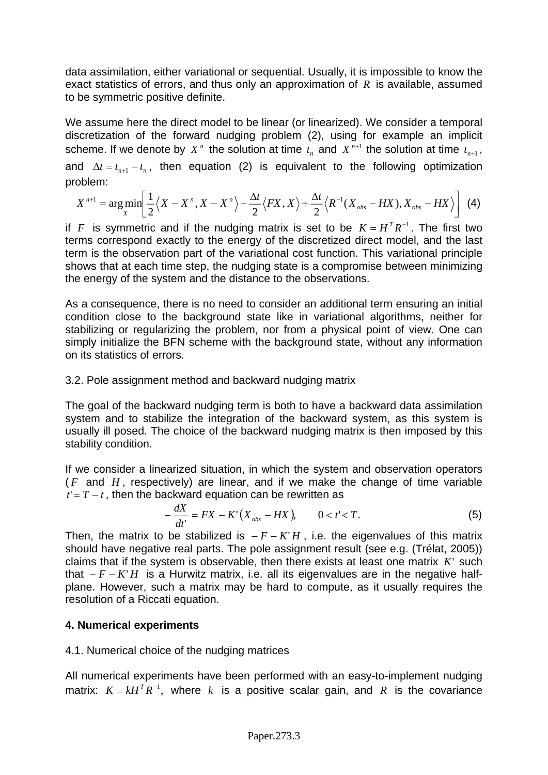data assimilation, either variational or sequential. Usually, it is impossible to know the exact statistics of errors, and thus only an approximation of *R* is available, assumed to be symmetric positive definite.

We assume here the direct model to be linear (or linearized). We consider a temporal discretization of the forward nudging problem (2), using for example an implicit scheme. If we denote by  $X^n$  the solution at time  $t_n$  and  $X^{n+1}$  the solution at time  $t_{n+1}$ , and  $\Delta t = t_{n+1} - t_n$ , then equation (2) is equivalent to the following optimization problem:

$$
X^{n+1} = \arg\min_{X} \left[ \frac{1}{2} \left\langle X - X^n, X - X^n \right\rangle - \frac{\Delta t}{2} \left\langle FX, X \right\rangle + \frac{\Delta t}{2} \left\langle R^{-1} (X_{obs} - HX), X_{obs} - HX \right\rangle \right] \tag{4}
$$

if *F* is symmetric and if the nudging matrix is set to be  $K = H^{T}R^{-1}$ . The first two terms correspond exactly to the energy of the discretized direct model, and the last term is the observation part of the variational cost function. This variational principle shows that at each time step, the nudging state is a compromise between minimizing the energy of the system and the distance to the observations.

As a consequence, there is no need to consider an additional term ensuring an initial condition close to the background state like in variational algorithms, neither for stabilizing or regularizing the problem, nor from a physical point of view. One can simply initialize the BFN scheme with the background state, without any information on its statistics of errors.

#### 3.2. Pole assignment method and backward nudging matrix

The goal of the backward nudging term is both to have a backward data assimilation system and to stabilize the integration of the backward system, as this system is usually ill posed. The choice of the backward nudging matrix is then imposed by this stability condition.

If we consider a linearized situation, in which the system and observation operators ( *F* and *H* , respectively) are linear, and if we make the change of time variable  $t' = T - t$ , then the backward equation can be rewritten as

$$
-\frac{dX}{dt'} = FX - K'\left(X_{obs} - HX\right), \qquad 0 < t' < T. \tag{5}
$$

Then, the matrix to be stabilized is  $-F - K'H$ , i.e. the eigenvalues of this matrix should have negative real parts. The pole assignment result (see e.g. (Trélat, 2005)) claims that if the system is observable, then there exists at least one matrix  $K'$  such that *F* −− *K*' *H* is a Hurwitz matrix, i.e. all its eigenvalues are in the negative halfplane. However, such a matrix may be hard to compute, as it usually requires the resolution of a Riccati equation.

# **4. Numerical experiments**

# 4.1. Numerical choice of the nudging matrices

All numerical experiments have been performed with an easy-to-implement nudging matrix:  $K = kH^{T}R^{-1}$ , where k is a positive scalar gain, and R is the covariance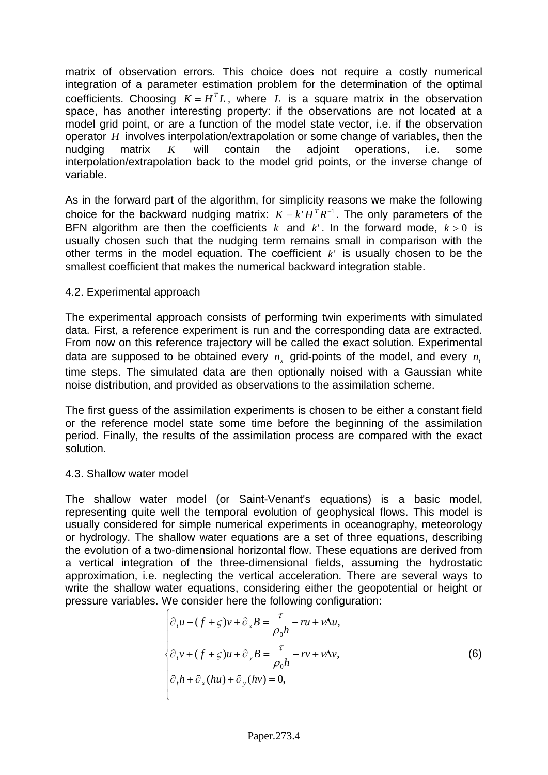matrix of observation errors. This choice does not require a costly numerical integration of a parameter estimation problem for the determination of the optimal coefficients. Choosing  $K = H<sup>T</sup>L$ , where L is a square matrix in the observation space, has another interesting property: if the observations are not located at a model grid point, or are a function of the model state vector, i.e. if the observation operator *H* involves interpolation/extrapolation or some change of variables, then the nudging matrix *K* will contain the adjoint operations, i.e. some interpolation/extrapolation back to the model grid points, or the inverse change of variable.

As in the forward part of the algorithm, for simplicity reasons we make the following choice for the backward nudging matrix:  $K = k'H^TR^{-1}$ . The only parameters of the BFN algorithm are then the coefficients  $k$  and  $k'$ . In the forward mode,  $k > 0$  is usually chosen such that the nudging term remains small in comparison with the other terms in the model equation. The coefficient  $k'$  is usually chosen to be the smallest coefficient that makes the numerical backward integration stable.

#### 4.2. Experimental approach

The experimental approach consists of performing twin experiments with simulated data. First, a reference experiment is run and the corresponding data are extracted. From now on this reference trajectory will be called the exact solution. Experimental data are supposed to be obtained every  $n_x$  grid-points of the model, and every  $n_x$ time steps. The simulated data are then optionally noised with a Gaussian white noise distribution, and provided as observations to the assimilation scheme.

The first guess of the assimilation experiments is chosen to be either a constant field or the reference model state some time before the beginning of the assimilation period. Finally, the results of the assimilation process are compared with the exact solution.

#### 4.3. Shallow water model

The shallow water model (or Saint-Venant's equations) is a basic model, representing quite well the temporal evolution of geophysical flows. This model is usually considered for simple numerical experiments in oceanography, meteorology or hydrology. The shallow water equations are a set of three equations, describing the evolution of a two-dimensional horizontal flow. These equations are derived from a vertical integration of the three-dimensional fields, assuming the hydrostatic approximation, i.e. neglecting the vertical acceleration. There are several ways to write the shallow water equations, considering either the geopotential or height or pressure variables. We consider here the following configuration:

$$
\begin{cases}\n\partial_t u - (f + \varsigma)v + \partial_x B = \frac{\tau}{\rho_0 h} - ru + v\Delta u, \\
\partial_t v + (f + \varsigma)u + \partial_y B = \frac{\tau}{\rho_0 h} - rv + v\Delta v, \\
\partial_t h + \partial_x (hu) + \partial_y (hv) = 0,\n\end{cases}
$$
\n(6)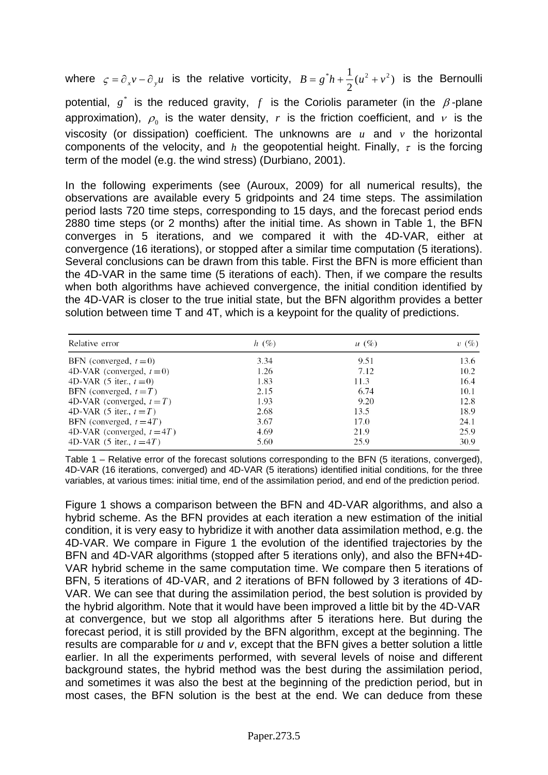where  $\zeta = \partial_x v - \partial_y u$  is the relative vorticity,  $B = g^* h + \frac{1}{2} (u^2 + v^2)$  is the Bernoulli potential,  $g^*$  is the reduced gravity,  $f$  is the Coriolis parameter (in the  $\beta$ -plane approximation),  $\rho_0$  is the water density, r is the friction coefficient, and  $\nu$  is the viscosity (or dissipation) coefficient. The unknowns are  $u$  and  $v$  the horizontal components of the velocity, and h the geopotential height. Finally,  $\tau$  is the forcing term of the model (e.g. the wind stress) (Durbiano, 2001).

In the following experiments (see (Auroux, 2009) for all numerical results), the observations are available every 5 gridpoints and 24 time steps. The assimilation period lasts 720 time steps, corresponding to 15 days, and the forecast period ends 2880 time steps (or 2 months) after the initial time. As shown in Table 1, the BFN converges in 5 iterations, and we compared it with the 4D-VAR, either at convergence (16 iterations), or stopped after a similar time computation (5 iterations). Several conclusions can be drawn from this table. First the BFN is more efficient than the 4D-VAR in the same time (5 iterations of each). Then, if we compare the results when both algorithms have achieved convergence, the initial condition identified by the 4D-VAR is closer to the true initial state, but the BFN algorithm provides a better solution between time T and 4T, which is a keypoint for the quality of predictions.

| Relative error                | h(%) | $u(\%)$ | $v(\%)$ |
|-------------------------------|------|---------|---------|
| BFN (converged, $t=0$ )       | 3.34 | 9.51    | 13.6    |
| 4D-VAR (converged, $t=0$ )    | 1.26 | 7.12    | 10.2    |
| 4D-VAR $(5$ iter., $t=0$ )    | 1.83 | 11.3    | 16.4    |
| BFN (converged, $t = T$ )     | 2.15 | 6.74    | 10.1    |
| 4D-VAR (converged, $t = T$ )  | 1.93 | 9.20    | 12.8    |
| 4D-VAR (5 iter., $t = T$ )    | 2.68 | 13.5    | 18.9    |
| BFN (converged, $t = 4T$ )    | 3.67 | 17.0    | 24.1    |
| 4D-VAR (converged, $t = 4T$ ) | 4.69 | 21.9    | 25.9    |
| 4D-VAR (5 iter., $t = 4T$ )   | 5.60 | 25.9    | 30.9    |

Table 1 – Relative error of the forecast solutions corresponding to the BFN (5 iterations, converged), 4D-VAR (16 iterations, converged) and 4D-VAR (5 iterations) identified initial conditions, for the three variables, at various times: initial time, end of the assimilation period, and end of the prediction period.

Figure 1 shows a comparison between the BFN and 4D-VAR algorithms, and also a hybrid scheme. As the BFN provides at each iteration a new estimation of the initial condition, it is very easy to hybridize it with another data assimilation method, e.g. the 4D-VAR. We compare in Figure 1 the evolution of the identified trajectories by the BFN and 4D-VAR algorithms (stopped after 5 iterations only), and also the BFN+4D-VAR hybrid scheme in the same computation time. We compare then 5 iterations of BFN, 5 iterations of 4D-VAR, and 2 iterations of BFN followed by 3 iterations of 4D-VAR. We can see that during the assimilation period, the best solution is provided by the hybrid algorithm. Note that it would have been improved a little bit by the 4D-VAR at convergence, but we stop all algorithms after 5 iterations here. But during the forecast period, it is still provided by the BFN algorithm, except at the beginning. The results are comparable for *u* and *v*, except that the BFN gives a better solution a little earlier. In all the experiments performed, with several levels of noise and different background states, the hybrid method was the best during the assimilation period, and sometimes it was also the best at the beginning of the prediction period, but in most cases, the BFN solution is the best at the end. We can deduce from these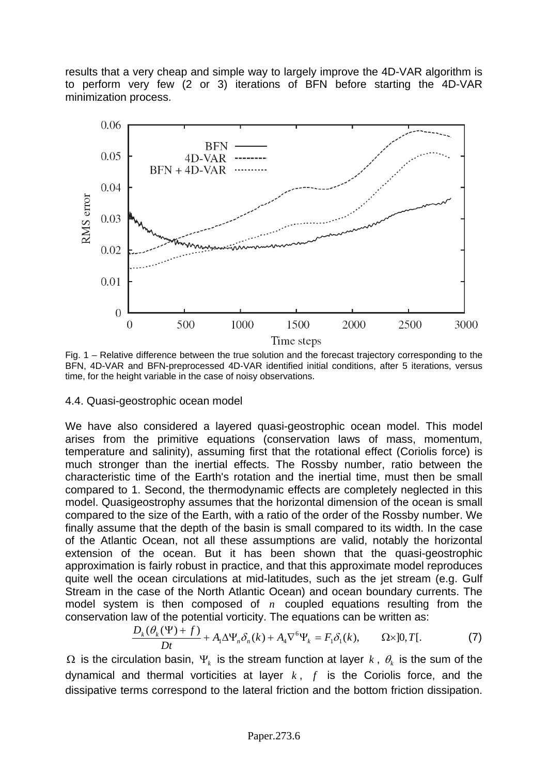results that a very cheap and simple way to largely improve the 4D-VAR algorithm is to perform very few (2 or 3) iterations of BFN before starting the 4D-VAR minimization process.



Fig. 1 – Relative difference between the true solution and the forecast trajectory corresponding to the BFN, 4D-VAR and BFN-preprocessed 4D-VAR identified initial conditions, after 5 iterations, versus time, for the height variable in the case of noisy observations.

#### 4.4. Quasi-geostrophic ocean model

We have also considered a layered quasi-geostrophic ocean model. This model arises from the primitive equations (conservation laws of mass, momentum, temperature and salinity), assuming first that the rotational effect (Coriolis force) is much stronger than the inertial effects. The Rossby number, ratio between the characteristic time of the Earth's rotation and the inertial time, must then be small compared to 1. Second, the thermodynamic effects are completely neglected in this model. Quasigeostrophy assumes that the horizontal dimension of the ocean is small compared to the size of the Earth, with a ratio of the order of the Rossby number. We finally assume that the depth of the basin is small compared to its width. In the case of the Atlantic Ocean, not all these assumptions are valid, notably the horizontal extension of the ocean. But it has been shown that the quasi-geostrophic approximation is fairly robust in practice, and that this approximate model reproduces quite well the ocean circulations at mid-latitudes, such as the jet stream (e.g. Gulf Stream in the case of the North Atlantic Ocean) and ocean boundary currents. The model system is then composed of  $n$  coupled equations resulting from the conservation law of the potential vorticity. The equations can be written as:

$$
\frac{D_k(\theta_k(\Psi) + f)}{Dt} + A_1 \Delta \Psi_n \delta_n(k) + A_4 \nabla^6 \Psi_k = F_1 \delta_1(k), \qquad \Omega \times ]0, T[.
$$
 (7)

 $Ω$  is the circulation basin,  $Ψ$ , is the stream function at layer  $k$ ,  $θ$ , is the sum of the dynamical and thermal vorticities at layer  $k$ ,  $f$  is the Coriolis force, and the dissipative terms correspond to the lateral friction and the bottom friction dissipation.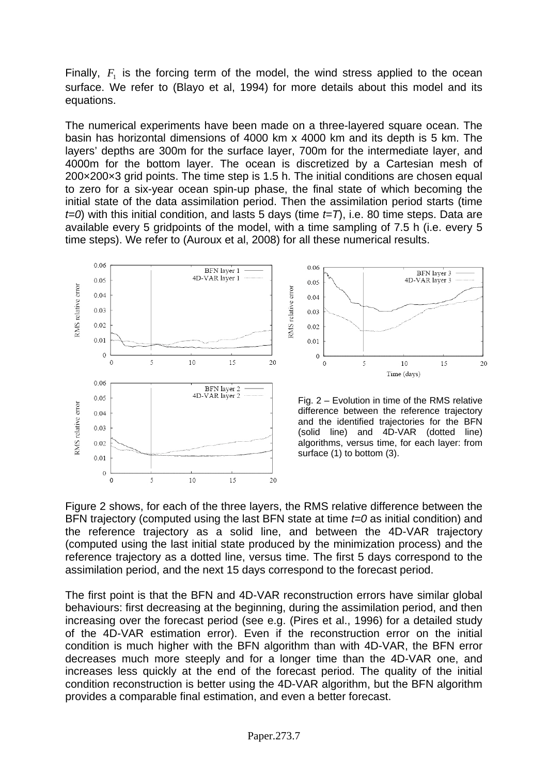Finally,  $F_1$  is the forcing term of the model, the wind stress applied to the ocean surface. We refer to (Blayo et al, 1994) for more details about this model and its equations.

The numerical experiments have been made on a three-layered square ocean. The basin has horizontal dimensions of 4000 km x 4000 km and its depth is 5 km. The layers' depths are 300m for the surface layer, 700m for the intermediate layer, and 4000m for the bottom layer. The ocean is discretized by a Cartesian mesh of 200×200×3 grid points. The time step is 1.5 h. The initial conditions are chosen equal to zero for a six-year ocean spin-up phase, the final state of which becoming the initial state of the data assimilation period. Then the assimilation period starts (time *t=0*) with this initial condition, and lasts 5 days (time *t=T*), i.e. 80 time steps. Data are available every 5 gridpoints of the model, with a time sampling of 7.5 h (i.e. every 5 time steps). We refer to (Auroux et al, 2008) for all these numerical results.



Figure 2 shows, for each of the three layers, the RMS relative difference between the BFN trajectory (computed using the last BFN state at time *t=0* as initial condition) and the reference trajectory as a solid line, and between the 4D-VAR trajectory (computed using the last initial state produced by the minimization process) and the reference trajectory as a dotted line, versus time. The first 5 days correspond to the assimilation period, and the next 15 days correspond to the forecast period.

 $20$ 

 $\overline{0}$ 

 $10$ 

15

The first point is that the BFN and 4D-VAR reconstruction errors have similar global behaviours: first decreasing at the beginning, during the assimilation period, and then increasing over the forecast period (see e.g. (Pires et al., 1996) for a detailed study of the 4D-VAR estimation error). Even if the reconstruction error on the initial condition is much higher with the BFN algorithm than with 4D-VAR, the BFN error decreases much more steeply and for a longer time than the 4D-VAR one, and increases less quickly at the end of the forecast period. The quality of the initial condition reconstruction is better using the 4D-VAR algorithm, but the BFN algorithm provides a comparable final estimation, and even a better forecast.